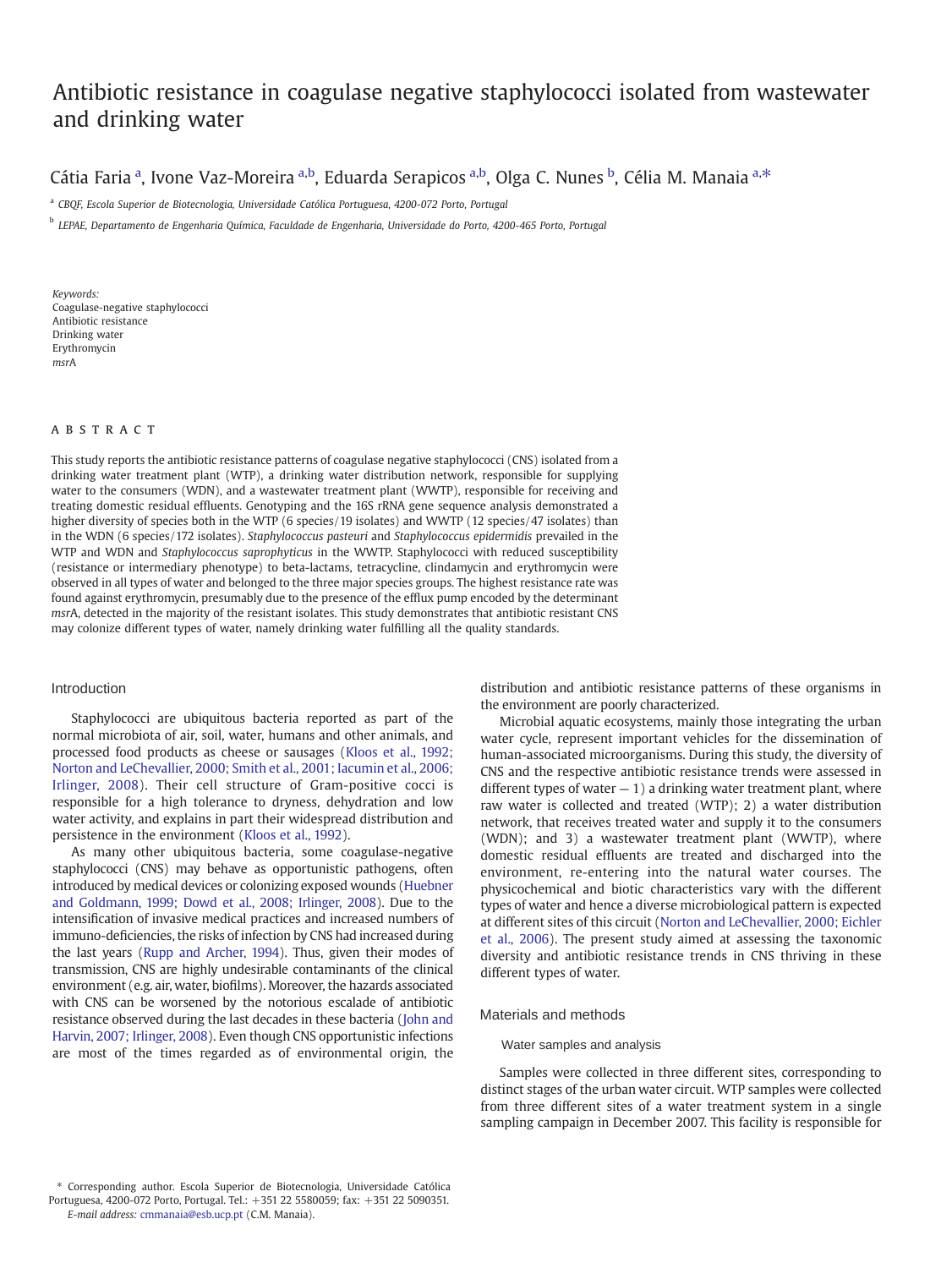# Antibiotic resistance in coagulase negative st[aphylococ](http://www.sciencedirect.com/science/journal/00489697)ci isolated from wastewater and drinking water

Cátia Faria <sup>a</sup>, Ivone Vaz-Moreira <sup>a,b</sup>, Eduarda Serapicos <sup>a,b</sup>, Olga C. Nunes <sup>b</sup>, Célia M. Manaia <sup>a,\*</sup>

<sup>a</sup> CBQF, Escola Superior de Biotecnologia, Universidade Católica Portuguesa, 4200-072 Porto, Portugal

<sup>b</sup> LEPAE, Departamento de Engenharia Química, Faculdade de Engenharia, Universidade do Porto, 4200-465 Porto, Portugal

Keywords: Coagulase-negative staphylococci Antibiotic resistance Drinking water Erythromycin msrA

# **ABSTRACT**

This study reports the antibiotic resistance patterns of coagulase negative staphylococci (CNS) isolated from a drinking water treatment plant (WTP), a drinking water distribution network, responsible for supplying water to the consumers (WDN), and a wastewater treatment plant (WWTP), responsible for receiving and treating domestic residual effluents. Genotyping and the 16S rRNA gene sequence analysis demonstrated a higher diversity of species both in the WTP (6 species/19 isolates) and WWTP (12 species/47 isolates) than in the WDN (6 species/172 isolates). Staphylococcus pasteuri and Staphylococcus epidermidis prevailed in the WTP and WDN and Staphylococcus saprophyticus in the WWTP. Staphylococci with reduced susceptibility (resistance or intermediary phenotype) to beta-lactams, tetracycline, clindamycin and erythromycin were observed in all types of water and belonged to the three major species groups. The highest resistance rate was found against erythromycin, presumably due to the presence of the efflux pump encoded by the determinant msrA, detected in the majority of the resistant isolates. This study demonstrates that antibiotic resistant CNS may colonize different types of water, namely drinking water fulfilling all the quality standards.

#### Introduction

Staphylococci are ubiquitous bacteria reported as part of the normal microbiota of air, soil, water, humans and other animals, and processed food products as cheese or sausages (Kloos et al., 1992; Norton and LeChevallier, 2000; Smith et al., 2001; I[acumin et al., 2006;](#page-6-0) [Irlinger, 2008\). Their cell structure of Gram-positive cocci is](#page-6-0) [responsible for](#page-6-0) a high tolerance to dryness, dehydration and low water activity, and explains in part their widespread distribution and persistence in the environment (Kloos et al., 1992).

As many other ubiquitous [bacteria, some c](#page-6-0)oagulase-negative staphylococci (CNS) may behave as opportunistic pathogens, often introduced by medical devices or colonizing exposed wounds (Huebner and Goldmann, 1999; Dowd et al., 2008; Irlinger, 2008). D[ue to the](#page-6-0) intensifi[cation of invasive medical practices and increased](#page-6-0) numbers of immuno-deficiencies, the risks of infection by CNS had increased during the last years (Rupp and Archer, 1994). Thus, given their modes of transmission, C[NS are highly undesirabl](#page-6-0)e contaminants of the clinical environment (e.g. air, water, biofilms). Moreover, the hazards associated with CNS can be worsened by the notorious escalade of antibiotic resistance observed during the last decades in these bacteria (John and Harvin, 2007; Irlinger, 2008). Even though CNS opportunistic i[nfections](#page-6-0) [are most of the times re](#page-6-0)garded as of environmental origin, the distribution and antibiotic resistance patterns of these organisms in the environment are poorly characterized.

Microbial aquatic ecosystems, mainly those integrating the urban water cycle, represent important vehicles for the dissemination of human-associated microorganisms. During this study, the diversity of CNS and the respective antibiotic resistance trends were assessed in different types of water  $-1$ ) a drinking water treatment plant, where raw water is collected and treated (WTP); 2) a water distribution network, that receives treated water and supply it to the consumers (WDN); and 3) a wastewater treatment plant (WWTP), where domestic residual effluents are treated and discharged into the environment, re-entering into the natural water courses. The physicochemical and biotic characteristics vary with the different types of water and hence a diverse microbiological pattern is expected at different sites of this circuit (Norton and LeChevallier, 2000; Eichler et al., 2006). The present stu[dy aimed at assessing the taxonomic](#page-6-0) [diversity and](#page-6-0) antibiotic resistance trends in CNS thriving in these different types of water.

## Materials and methods

#### Water samples and analysis

Samples were collected in three different sites, corresponding to distinct stages of the urban water circuit. WTP samples were collected from three different sites of a water treatment system in a single sampling campaign in December 2007. This facility is responsible for

<sup>⁎</sup> [Corresponding author. Escola S](http://dx.doi.org/10.1016/j.scitotenv.2009.02.034)uperior de Biotecnologia, Universidade Católica Portuguesa, 4200-072 Porto, Portugal. Tel.: +351 22 5580059; fax: +351 22 5090351. E-mail address: cmmanaia@esb.ucp.pt (C.M. Manaia).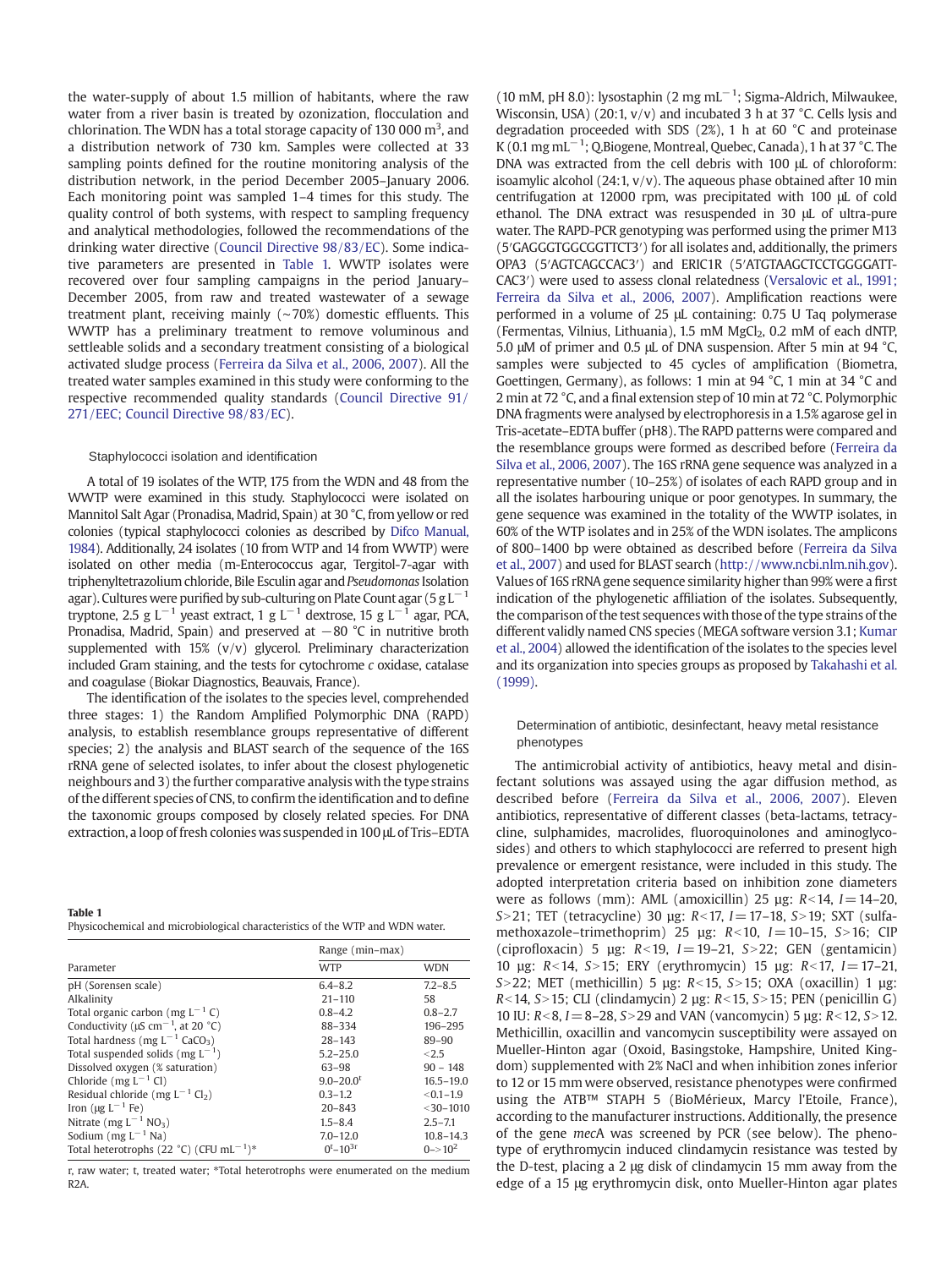the water-supply of about 1.5 million of habitants, where the raw water from a river basin is treated by ozonization, flocculation and chlorination. The WDN has a total storage capacity of 130 000  $\mathrm{m}^{3}$ , and a distribution network of 730 km. Samples were collected at 33 sampling points defined for the routine monitoring analysis of the distribution network, in the period December 2005–January 2006. Each monitoring point was sampled 1–4 times for this study. The quality control of both systems, with respect to sampling frequency and analytical methodologies, followed the recommendations of the drinking water directive [\(Council Directive 98/83/EC\)](#page-6-0). Some indicative parameters are presented in Table 1. WWTP isolates were recovered over four sampling campaigns in the period January– December 2005, from raw and treated wastewater of a sewage treatment plant, receiving mainly (∼70%) domestic effluents. This WWTP has a preliminary treatment to remove voluminous and settleable solids and a secondary treatment consisting of a biological activated sludge process [\(Ferreira da Silva et al., 2006, 2007\)](#page-6-0). All the treated water samples examined in this study were conforming to the respective recommended quality standards ([Council Directive 91/](#page-6-0) [271/EEC; Council Directive 98/83/EC\)](#page-6-0).

#### Staphylococci isolation and identification

A total of 19 isolates of the WTP, 175 from the WDN and 48 from the WWTP were examined in this study. Staphylococci were isolated on Mannitol Salt Agar (Pronadisa, Madrid, Spain) at 30 °C, from yellow or red colonies (typical staphylococci colonies as described by [Difco Manual,](#page-6-0) [1984](#page-6-0)). Additionally, 24 isolates (10 from WTP and 14 from WWTP) were isolated on other media (m-Enterococcus agar, Tergitol-7-agar with triphenyltetrazolium chloride, Bile Esculin agar and Pseudomonas Isolation agar). Cultures were purified by sub-culturing on Plate Count agar (5 g  $L^{-1}$ tryptone, 2.5 g L<sup>-1</sup> yeast extract, 1 g L<sup>-1</sup> dextrose, 15 g L<sup>-1</sup> agar, PCA, Pronadisa, Madrid, Spain) and preserved at −80 °C in nutritive broth supplemented with 15% (v/v) glycerol. Preliminary characterization included Gram staining, and the tests for cytochrome  $c$  oxidase, catalase and coagulase (Biokar Diagnostics, Beauvais, France).

The identification of the isolates to the species level, comprehended three stages: 1) the Random Amplified Polymorphic DNA (RAPD) analysis, to establish resemblance groups representative of different species; 2) the analysis and BLAST search of the sequence of the 16S rRNA gene of selected isolates, to infer about the closest phylogenetic neighbours and 3) the further comparative analysis with the type strains of the different species of CNS, to confirm the identification and to define the taxonomic groups composed by closely related species. For DNA extraction, a loop of fresh colonies was suspended in 100 μL of Tris–EDTA

| Table 1                                                                       |  |  |  |  |
|-------------------------------------------------------------------------------|--|--|--|--|
| Physicochemical and microbiological characteristics of the WTP and WDN water. |  |  |  |  |

|                                                     | Range (min-max)           |                      |
|-----------------------------------------------------|---------------------------|----------------------|
| Parameter                                           | <b>WTP</b>                | <b>WDN</b>           |
| pH (Sorensen scale)                                 | $6.4 - 8.2$               | $7.2 - 8.5$          |
| Alkalinity                                          | $21 - 110$                | 58                   |
| Total organic carbon (mg $L^{-1}$ C)                | $0.8 - 4.2$               | $0.8 - 2.7$          |
| Conductivity ( $\mu$ S cm <sup>-1</sup> , at 20 °C) | 88-334                    | 196-295              |
| Total hardness (mg $L^{-1}$ CaCO <sub>3</sub> )     | $28 - 143$                | 89-90                |
| Total suspended solids ( $mg L^{-1}$ )              | $5.2 - 25.0$              | <2.5                 |
| Dissolved oxygen (% saturation)                     | 63-98                     | $90 - 148$           |
| Chloride (mg $L^{-1}$ Cl)                           | $9.0 - 20.0$ <sup>t</sup> | $16.5 - 19.0$        |
| Residual chloride (mg $L^{-1}$ Cl <sub>2</sub> )    | $0.3 - 1.2$               | $< 0.1 - 1.9$        |
| Iron ( $\mu$ g L <sup>-1</sup> Fe)                  | $20 - 843$                | $<$ 30-1010          |
| Nitrate (mg $L^{-1}$ NO <sub>3</sub> )              | $1.5 - 8.4$               | $2.5 - 7.1$          |
| Sodium (mg $L^{-1}$ Na)                             | $7.0 - 12.0$              | $10.8 - 14.3$        |
| Total heterotrophs (22 °C) (CFU mL <sup>-1</sup> )* | $0^t - 10^{3r}$           | $0 \rightarrow 10^2$ |

r, raw water; t, treated water; \*Total heterotrophs were enumerated on the medium R2A.

(10 mM, pH 8.0): lysostaphin (2 mg mL−<sup>1</sup> ; Sigma-Aldrich, Milwaukee, Wisconsin, USA) (20:1,  $v/v$ ) and incubated 3 h at 37 °C. Cells lysis and degradation proceeded with SDS (2%), 1 h at 60 °C and proteinase K (0.1 mg mL−<sup>1</sup> ; Q.Biogene, Montreal, Quebec, Canada),1 h at 37 °C. The DNA was extracted from the cell debris with 100 μL of chloroform: isoamylic alcohol  $(24:1, v/v)$ . The aqueous phase obtained after 10 min centrifugation at 12000 rpm, was precipitated with 100 μL of cold ethanol. The DNA extract was resuspended in 30 μL of ultra-pure water. The RAPD-PCR genotyping was performed using the primer M13 (5′GAGGGTGGCGGTTCT3′) for all isolates and, additionally, the primers OPA3 (5′AGTCAGCCAC3′) and ERIC1R (5′ATGTAAGCTCCTGGGGATT-CAC3′) were used to assess clonal relatedness [\(Versalovic et al., 1991;](#page-6-0) [Ferreira da Silva et al., 2006, 2007\)](#page-6-0). Amplification reactions were performed in a volume of 25 μL containing: 0.75 U Taq polymerase (Fermentas, Vilnius, Lithuania), 1.5 mM  $MgCl<sub>2</sub>$ , 0.2 mM of each dNTP, 5.0 μM of primer and 0.5 μL of DNA suspension. After 5 min at 94 °C, samples were subjected to 45 cycles of amplification (Biometra, Goettingen, Germany), as follows: 1 min at 94 °C, 1 min at 34 °C and 2 min at 72 °C, and a final extension step of 10 min at 72 °C. Polymorphic DNA fragments were analysed by electrophoresis in a 1.5% agarose gel in Tris-acetate–EDTA buffer (pH8). The RAPD patterns were compared and the resemblance groups were formed as described before [\(Ferreira da](#page-6-0) [Silva et al., 2006, 2007](#page-6-0)). The 16S rRNA gene sequence was analyzed in a representative number (10–25%) of isolates of each RAPD group and in all the isolates harbouring unique or poor genotypes. In summary, the gene sequence was examined in the totality of the WWTP isolates, in 60% of the WTP isolates and in 25% of the WDN isolates. The amplicons of 800–1400 bp were obtained as described before [\(Ferreira da Silva](#page-6-0) [et al., 2007\)](#page-6-0) and used for BLAST search [\(http://www.ncbi.nlm.nih.gov](http://www.ncbi.nlm.nih.gov)). Values of 16S rRNA gene sequence similarity higher than 99% were a first indication of the phylogenetic affiliation of the isolates. Subsequently, the comparison of the test sequences with those of the type strains of the different validly named CNS species (MEGA software version 3.1; [Kumar](#page-6-0) [et al., 2004\)](#page-6-0) allowed the identification of the isolates to the species level and its organization into species groups as proposed by [Takahashi et al.](#page-6-0) [\(1999\).](#page-6-0)

# Determination of antibiotic, desinfectant, heavy metal resistance phenotypes

The antimicrobial activity of antibiotics, heavy metal and disinfectant solutions was assayed using the agar diffusion method, as described before ([Ferreira da Silva et al., 2006, 2007](#page-6-0)). Eleven antibiotics, representative of different classes (beta-lactams, tetracycline, sulphamides, macrolides, fluoroquinolones and aminoglycosides) and others to which staphylococci are referred to present high prevalence or emergent resistance, were included in this study. The adopted interpretation criteria based on inhibition zone diameters were as follows (mm): AML (amoxicillin) 25 µg:  $R<14$ ,  $I= 14-20$ , S > 21; TET (tetracycline) 30 µg:  $R$  < 17, I = 17–18, S > 19; SXT (sulfamethoxazole–trimethoprim) 25 µg:  $R < 10$ ,  $I = 10-15$ , S>16; CIP (ciprofloxacin) 5 µg:  $R<19$ ,  $I= 19-21$ ,  $S>22$ ; GEN (gentamicin) 10 µg:  $R < 14$ ,  $S > 15$ ; ERY (erythromycin) 15 µg:  $R < 17$ ,  $I = 17-21$ , S>22; MET (methicillin) 5 µg:  $R < 15$ , S>15; OXA (oxacillin) 1 µg:  $R$ <14, S>15; CLI (clindamycin) 2 µg:  $R$ <15, S>15; PEN (penicillin G) 10 IU:  $R < 8$ ,  $I = 8-28$ ,  $S > 29$  and VAN (vancomycin) 5 µg:  $R < 12$ ,  $S > 12$ . Methicillin, oxacillin and vancomycin susceptibility were assayed on Mueller-Hinton agar (Oxoid, Basingstoke, Hampshire, United Kingdom) supplemented with 2% NaCl and when inhibition zones inferior to 12 or 15 mm were observed, resistance phenotypes were confirmed using the ATB™ STAPH 5 (BioMérieux, Marcy l'Etoile, France), according to the manufacturer instructions. Additionally, the presence of the gene mecA was screened by PCR (see below). The phenotype of erythromycin induced clindamycin resistance was tested by the D-test, placing a 2 μg disk of clindamycin 15 mm away from the edge of a 15 μg erythromycin disk, onto Mueller-Hinton agar plates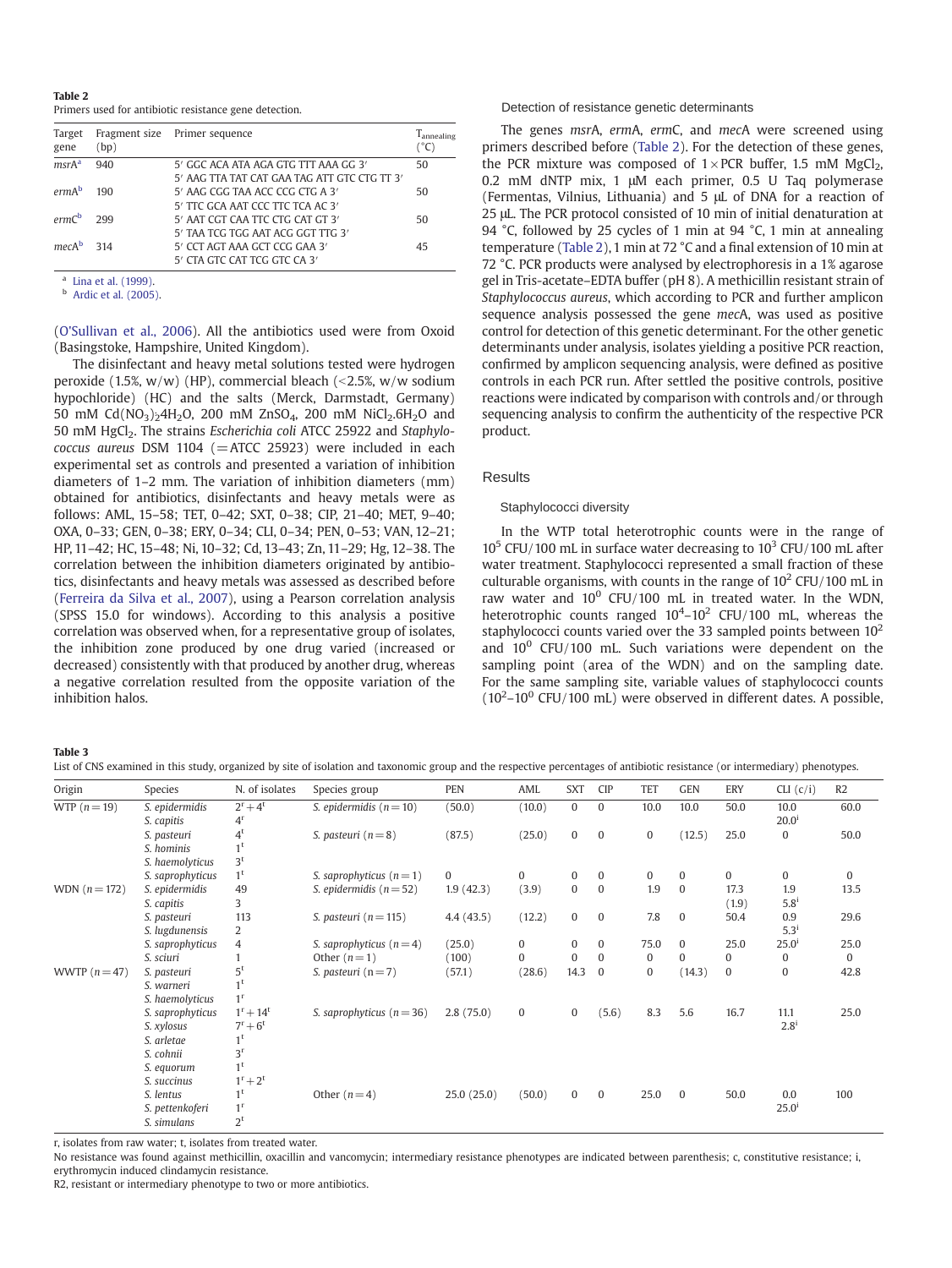#### <span id="page-2-0"></span>Table 2

Primers used for antibiotic resistance gene detection.

| Target<br>gene    | (bp) | Fragment size Primer sequence                                                        | <sup>1</sup> annealing<br>$(^{\circ}C)$ |
|-------------------|------|--------------------------------------------------------------------------------------|-----------------------------------------|
| $m$ sr $A^a$      | 940  | 5' GGC ACA ATA AGA GTG TTT AAA GG 3'<br>5' AAG TTA TAT CAT GAA TAG ATT GTC CTG TT 3' | 50                                      |
| ermA <sup>b</sup> | 190  | 5' AAG CGG TAA ACC CCG CTG A 3'<br>5' TTC GCA AAT CCC TTC TCA AC 3'                  | 50                                      |
| $ermC^b$          | 799  | 5' AAT CGT CAA TTC CTG CAT GT 3'<br>5' TAA TCG TGG AAT ACG GGT TTG 3'                | 50                                      |
| mecA <sup>b</sup> | 314  | 5' CCT AGT AAA GCT CCG GAA 3'<br>5' CTA GTC CAT TCG GTC CA 3'                        | 45                                      |

<sup>a</sup> [Lina et al. \(1999\)](#page-6-0).

 $<sup>b</sup>$  [Ardic et al. \(2005\).](#page-6-0)</sup>

[\(O'Sullivan et al., 2006](#page-6-0)). All the antibiotics used were from Oxoid (Basingstoke, Hampshire, United Kingdom).

The disinfectant and heavy metal solutions tested were hydrogen peroxide (1.5%, w/w) (HP), commercial bleach (<2.5%, w/w sodium hypochloride) (HC) and the salts (Merck, Darmstadt, Germany) 50 mM Cd(NO<sub>3</sub>)<sub>2</sub>4H<sub>2</sub>O, 200 mM ZnSO<sub>4</sub>, 200 mM NiCl<sub>2</sub>.6H<sub>2</sub>O and 50 mM HgCl<sub>2</sub>. The strains Escherichia coli ATCC 25922 and Staphylo $coccus$  aureus DSM 1104 (=ATCC 25923) were included in each experimental set as controls and presented a variation of inhibition diameters of 1–2 mm. The variation of inhibition diameters (mm) obtained for antibiotics, disinfectants and heavy metals were as follows: AML, 15–58; TET, 0–42; SXT, 0–38; CIP, 21–40; MET, 9–40; OXA, 0–33; GEN, 0–38; ERY, 0–34; CLI, 0–34; PEN, 0–53; VAN, 12–21; HP, 11–42; HC, 15–48; Ni, 10–32; Cd, 13–43; Zn, 11–29; Hg, 12–38. The correlation between the inhibition diameters originated by antibiotics, disinfectants and heavy metals was assessed as described before [\(Ferreira da Silva et al., 2007\)](#page-6-0), using a Pearson correlation analysis (SPSS 15.0 for windows). According to this analysis a positive correlation was observed when, for a representative group of isolates, the inhibition zone produced by one drug varied (increased or decreased) consistently with that produced by another drug, whereas a negative correlation resulted from the opposite variation of the inhibition halos.

Detection of resistance genetic determinants

The genes msrA, ermA, ermC, and mecA were screened using primers described before (Table 2). For the detection of these genes, the PCR mixture was composed of  $1 \times PCR$  buffer, 1.5 mM MgCl<sub>2</sub>, 0.2 mM dNTP mix, 1 μM each primer, 0.5 U Taq polymerase (Fermentas, Vilnius, Lithuania) and 5 μL of DNA for a reaction of 25 μL. The PCR protocol consisted of 10 min of initial denaturation at 94 °C, followed by 25 cycles of 1 min at 94 °C, 1 min at annealing temperature (Table 2), 1 min at 72 °C and a final extension of 10 min at 72 °C. PCR products were analysed by electrophoresis in a 1% agarose gel in Tris-acetate–EDTA buffer (pH 8). A methicillin resistant strain of Staphylococcus aureus, which according to PCR and further amplicon sequence analysis possessed the gene mecA, was used as positive control for detection of this genetic determinant. For the other genetic determinants under analysis, isolates yielding a positive PCR reaction, confirmed by amplicon sequencing analysis, were defined as positive controls in each PCR run. After settled the positive controls, positive reactions were indicated by comparison with controls and/or through sequencing analysis to confirm the authenticity of the respective PCR product.

#### **Results**

#### Staphylococci diversity

In the WTP total heterotrophic counts were in the range of  $10<sup>5</sup>$  CFU/100 mL in surface water decreasing to  $10<sup>3</sup>$  CFU/100 mL after water treatment. Staphylococci represented a small fraction of these culturable organisms, with counts in the range of  $10^2$  CFU/100 mL in raw water and  $10^0$  CFU/100 mL in treated water. In the WDN, heterotrophic counts ranged  $10^4$ - $10^2$  CFU/100 mL, whereas the staphylococci counts varied over the 33 sampled points between  $10<sup>2</sup>$ and  $10^0$  CFU/100 mL. Such variations were dependent on the sampling point (area of the WDN) and on the sampling date. For the same sampling site, variable values of staphylococci counts  $(10^2 - 10^0 \text{ CFU}/100 \text{ mL})$  were observed in different dates. A possible,

Table 3

List of CNS examined in this study, organized by site of isolation and taxonomic group and the respective percentages of antibiotic resistance (or intermediary) phenotypes.

| Origin          | Species          | N. of isolates | Species group             | PEN          | AML              | <b>SXT</b>   | <b>CIP</b>     | <b>TET</b>   | <b>GEN</b>   | ERY          | CLI $(c/i)$      | R2           |
|-----------------|------------------|----------------|---------------------------|--------------|------------------|--------------|----------------|--------------|--------------|--------------|------------------|--------------|
| WTP $(n=19)$    | S. epidermidis   | $2^{r}+4^{t}$  | S. epidermidis $(n = 10)$ | (50.0)       | (10.0)           | $\mathbf 0$  | $\mathbf{0}$   | 10.0         | 10.0         | 50.0         | 10.0             | 60.0         |
|                 | S. capitis       | $4^r$          |                           |              |                  |              |                |              |              |              | $20.0^{i}$       |              |
|                 | S. pasteuri      | $4^t$          | S. pasteuri $(n=8)$       | (87.5)       | (25.0)           | $\mathbf{0}$ | $\bf{0}$       | 0            | (12.5)       | 25.0         | $\mathbf{0}$     | 50.0         |
|                 | S. hominis       | 1 <sup>t</sup> |                           |              |                  |              |                |              |              |              |                  |              |
|                 | S. haemolyticus  | 3 <sup>t</sup> |                           |              |                  |              |                |              |              |              |                  |              |
|                 | S. saprophyticus | 1 <sup>t</sup> | S. saprophyticus $(n=1)$  | $\mathbf{0}$ | $\mathbf{0}$     | $\mathbf{0}$ | $\bf{0}$       | $\mathbf{0}$ | $\mathbf{0}$ | $\mathbf{0}$ | $\mathbf{0}$     | $\mathbf{0}$ |
| WDN $(n = 172)$ | S. epidermidis   | 49             | S. epidermidis $(n=52)$   | 1.9(42.3)    | (3.9)            | $\mathbf{0}$ | $\bf{0}$       | 1.9          | $\Omega$     | 17.3         | 1.9              | 13.5         |
|                 | S. capitis       | 3              |                           |              |                  |              |                |              |              | (1.9)        | 5.8 <sup>i</sup> |              |
|                 | S. pasteuri      | 113            | S. pasteuri ( $n = 115$ ) | 4.4(43.5)    | (12.2)           | $\mathbf 0$  | $\mathbf 0$    | 7.8          | $\mathbf{0}$ | 50.4         | 0.9              | 29.6         |
|                 | S. lugdunensis   | 2              |                           |              |                  |              |                |              |              |              | $5.3^{i}$        |              |
|                 | S. saprophyticus | 4              | S. saprophyticus $(n=4)$  | (25.0)       | $\boldsymbol{0}$ | $\bf{0}$     | 0              | 75.0         | $\mathbf{0}$ | 25.0         | $25.0^{i}$       | 25.0         |
|                 | S. sciuri        |                | Other $(n=1)$             | (100)        | $\mathbf{0}$     | $\Omega$     | $\mathbf{0}$   | $\bf{0}$     | $\Omega$     | $\mathbf{0}$ | $\bf{0}$         | $\mathbf{0}$ |
| WWTP $(n=47)$   | S. pasteuri      | $5^{\rm t}$    | S. pasteuri $(n=7)$       | (57.1)       | (28.6)           | 14.3         | $\overline{0}$ | 0            | (14.3)       | $\bf{0}$     | $\bf{0}$         | 42.8         |
|                 | S. warneri       | 1 <sup>t</sup> |                           |              |                  |              |                |              |              |              |                  |              |
|                 | S. haemolyticus  | 1 <sup>r</sup> |                           |              |                  |              |                |              |              |              |                  |              |
|                 | S. saprophyticus | $1^r + 14^t$   | S. saprophyticus $(n=36)$ | 2.8(75.0)    | $\bf{0}$         | $\mathbf{0}$ | (5.6)          | 8.3          | 5.6          | 16.7         | 11.1             | 25.0         |
|                 | S. xylosus       | $7^r + 6^t$    |                           |              |                  |              |                |              |              |              | 2.8 <sup>i</sup> |              |
|                 | S. arletae       | 1 <sup>t</sup> |                           |              |                  |              |                |              |              |              |                  |              |
|                 | S. cohnii        | 3 <sup>r</sup> |                           |              |                  |              |                |              |              |              |                  |              |
|                 | S. equorum       | 1 <sup>t</sup> |                           |              |                  |              |                |              |              |              |                  |              |
|                 | S. succinus      | $1^r + 2^t$    |                           |              |                  |              |                |              |              |              |                  |              |
|                 | S. lentus        | 1 <sup>t</sup> | Other $(n=4)$             | 25.0(25.0)   | (50.0)           | $\mathbf{0}$ | $\bf{0}$       | 25.0         | $\mathbf{0}$ | 50.0         | 0.0              | 100          |
|                 | S. pettenkoferi  | $1^r$          |                           |              |                  |              |                |              |              |              | $25.0^{i}$       |              |
|                 | S. simulans      | $2^{\rm t}$    |                           |              |                  |              |                |              |              |              |                  |              |

r, isolates from raw water; t, isolates from treated water.

No resistance was found against methicillin, oxacillin and vancomycin; intermediary resistance phenotypes are indicated between parenthesis; c, constitutive resistance; i, erythromycin induced clindamycin resistance.

R2, resistant or intermediary phenotype to two or more antibiotics.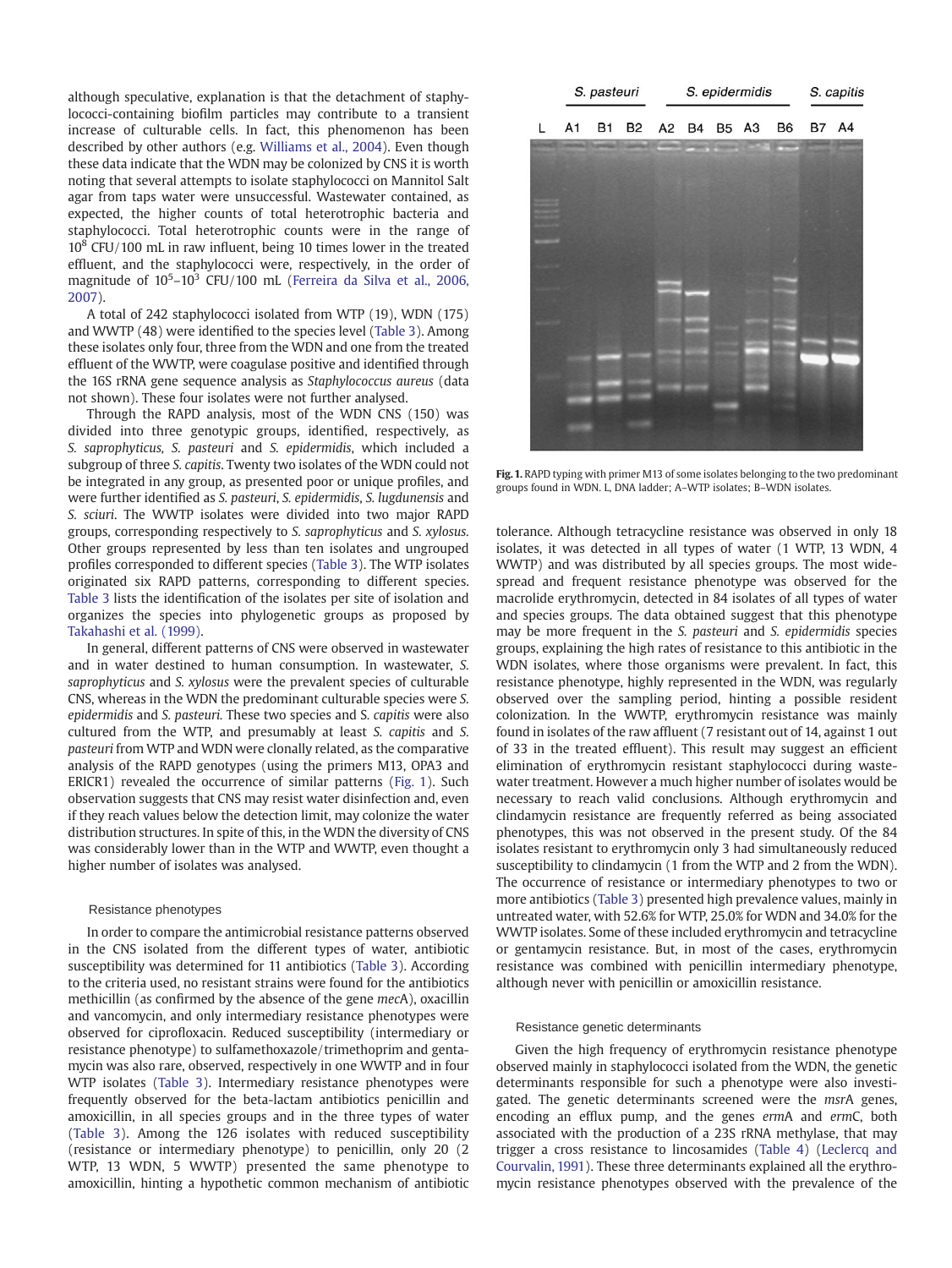although speculative, explanation is that the detachment of staphylococci-containing biofilm particles may contribute to a transient increase of culturable cells. In fact, this phenomenon has been described by other authors (e.g. [Williams et al., 2004](#page-6-0)). Even though these data indicate that the WDN may be colonized by CNS it is worth noting that several attempts to isolate staphylococci on Mannitol Salt agar from taps water were unsuccessful. Wastewater contained, as expected, the higher counts of total heterotrophic bacteria and staphylococci. Total heterotrophic counts were in the range of  $10^8$  CFU/100 mL in raw influent, being 10 times lower in the treated effluent, and the staphylococci were, respectively, in the order of magnitude of 10<sup>5</sup>-10<sup>3</sup> CFU/100 mL [\(Ferreira da Silva et al., 2006,](#page-6-0) [2007\)](#page-6-0).

A total of 242 staphylococci isolated from WTP (19), WDN (175) and WWTP (48) were identified to the species level ([Table 3](#page-2-0)). Among these isolates only four, three from the WDN and one from the treated effluent of the WWTP, were coagulase positive and identified through the 16S rRNA gene sequence analysis as Staphylococcus aureus (data not shown). These four isolates were not further analysed.

Through the RAPD analysis, most of the WDN CNS (150) was divided into three genotypic groups, identified, respectively, as S. saprophyticus, S. pasteuri and S. epidermidis, which included a subgroup of three S. capitis. Twenty two isolates of the WDN could not be integrated in any group, as presented poor or unique profiles, and were further identified as S. pasteuri, S. epidermidis, S. lugdunensis and S. sciuri. The WWTP isolates were divided into two major RAPD groups, corresponding respectively to S. saprophyticus and S. xylosus. Other groups represented by less than ten isolates and ungrouped profiles corresponded to different species [\(Table 3](#page-2-0)). The WTP isolates originated six RAPD patterns, corresponding to different species. [Table 3](#page-2-0) lists the identification of the isolates per site of isolation and organizes the species into phylogenetic groups as proposed by [Takahashi et al. \(1999\).](#page-6-0)

In general, different patterns of CNS were observed in wastewater and in water destined to human consumption. In wastewater, S. saprophyticus and S. xylosus were the prevalent species of culturable CNS, whereas in the WDN the predominant culturable species were S. epidermidis and S. pasteuri. These two species and S. capitis were also cultured from the WTP, and presumably at least S. capitis and S. pasteuri from WTP and WDN were clonally related, as the comparative analysis of the RAPD genotypes (using the primers M13, OPA3 and ERICR1) revealed the occurrence of similar patterns (Fig. 1). Such observation suggests that CNS may resist water disinfection and, even if they reach values below the detection limit, may colonize the water distribution structures. In spite of this, in the WDN the diversity of CNS was considerably lower than in the WTP and WWTP, even thought a higher number of isolates was analysed.

#### Resistance phenotypes

In order to compare the antimicrobial resistance patterns observed in the CNS isolated from the different types of water, antibiotic susceptibility was determined for 11 antibiotics ([Table 3](#page-2-0)). According to the criteria used, no resistant strains were found for the antibiotics methicillin (as confirmed by the absence of the gene mecA), oxacillin and vancomycin, and only intermediary resistance phenotypes were observed for ciprofloxacin. Reduced susceptibility (intermediary or resistance phenotype) to sulfamethoxazole/trimethoprim and gentamycin was also rare, observed, respectively in one WWTP and in four WTP isolates [\(Table 3](#page-2-0)). Intermediary resistance phenotypes were frequently observed for the beta-lactam antibiotics penicillin and amoxicillin, in all species groups and in the three types of water [\(Table 3](#page-2-0)). Among the 126 isolates with reduced susceptibility (resistance or intermediary phenotype) to penicillin, only 20 (2 WTP, 13 WDN, 5 WWTP) presented the same phenotype to amoxicillin, hinting a hypothetic common mechanism of antibiotic



Fig. 1. RAPD typing with primer M13 of some isolates belonging to the two predominant groups found in WDN. L, DNA ladder; A–WTP isolates; B–WDN isolates.

tolerance. Although tetracycline resistance was observed in only 18 isolates, it was detected in all types of water (1 WTP, 13 WDN, 4 WWTP) and was distributed by all species groups. The most widespread and frequent resistance phenotype was observed for the macrolide erythromycin, detected in 84 isolates of all types of water and species groups. The data obtained suggest that this phenotype may be more frequent in the S. pasteuri and S. epidermidis species groups, explaining the high rates of resistance to this antibiotic in the WDN isolates, where those organisms were prevalent. In fact, this resistance phenotype, highly represented in the WDN, was regularly observed over the sampling period, hinting a possible resident colonization. In the WWTP, erythromycin resistance was mainly found in isolates of the raw affluent (7 resistant out of 14, against 1 out of 33 in the treated effluent). This result may suggest an efficient elimination of erythromycin resistant staphylococci during wastewater treatment. However a much higher number of isolates would be necessary to reach valid conclusions. Although erythromycin and clindamycin resistance are frequently referred as being associated phenotypes, this was not observed in the present study. Of the 84 isolates resistant to erythromycin only 3 had simultaneously reduced susceptibility to clindamycin (1 from the WTP and 2 from the WDN). The occurrence of resistance or intermediary phenotypes to two or more antibiotics [\(Table 3\)](#page-2-0) presented high prevalence values, mainly in untreated water, with 52.6% for WTP, 25.0% for WDN and 34.0% for the WWTP isolates. Some of these included erythromycin and tetracycline or gentamycin resistance. But, in most of the cases, erythromycin resistance was combined with penicillin intermediary phenotype, although never with penicillin or amoxicillin resistance.

#### Resistance genetic determinants

Given the high frequency of erythromycin resistance phenotype observed mainly in staphylococci isolated from the WDN, the genetic determinants responsible for such a phenotype were also investigated. The genetic determinants screened were the msrA genes, encoding an efflux pump, and the genes ermA and ermC, both associated with the production of a 23S rRNA methylase, that may trigger a cross resistance to lincosamides [\(Table 4](#page-4-0)) [\(Leclercq and](#page-6-0) [Courvalin, 1991](#page-6-0)). These three determinants explained all the erythromycin resistance phenotypes observed with the prevalence of the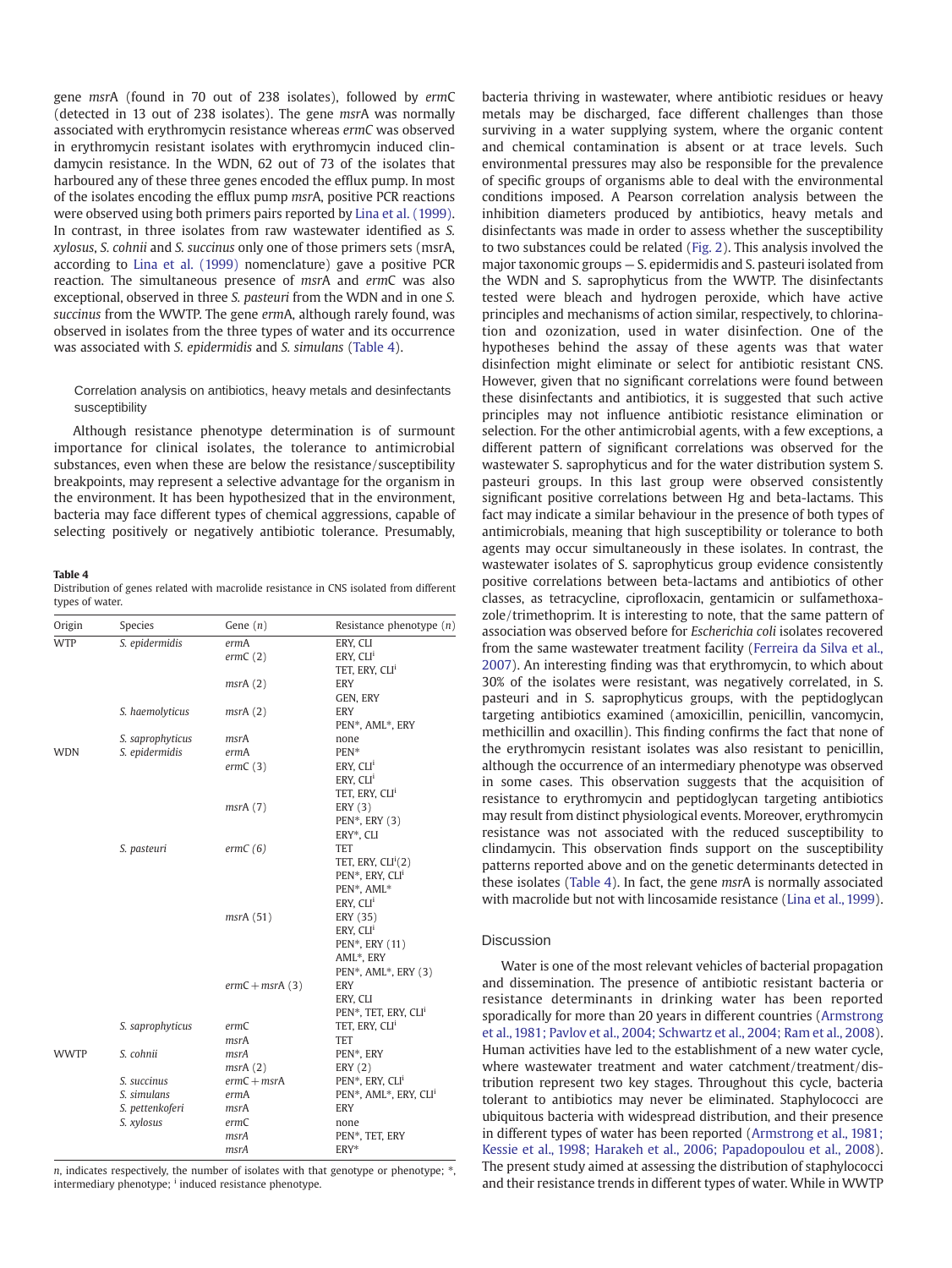<span id="page-4-0"></span>gene msrA (found in 70 out of 238 isolates), followed by ermC (detected in 13 out of 238 isolates). The gene msrA was normally associated with erythromycin resistance whereas ermC was observed in erythromycin resistant isolates with erythromycin induced clindamycin resistance. In the WDN, 62 out of 73 of the isolates that harboured any of these three genes encoded the efflux pump. In most of the isolates encoding the efflux pump msrA, positive PCR reactions were observed using both primers pairs reported by [Lina et al. \(1999\).](#page-6-0) In contrast, in three isolates from raw wastewater identified as S. xylosus, S. cohnii and S. succinus only one of those primers sets (msrA, according to [Lina et al. \(1999\)](#page-6-0) nomenclature) gave a positive PCR reaction. The simultaneous presence of msrA and ermC was also exceptional, observed in three S. pasteuri from the WDN and in one S. succinus from the WWTP. The gene ermA, although rarely found, was observed in isolates from the three types of water and its occurrence was associated with S. epidermidis and S. simulans (Table 4).

## Correlation analysis on antibiotics, heavy metals and desinfectants susceptibility

Although resistance phenotype determination is of surmount importance for clinical isolates, the tolerance to antimicrobial substances, even when these are below the resistance/susceptibility breakpoints, may represent a selective advantage for the organism in the environment. It has been hypothesized that in the environment, bacteria may face different types of chemical aggressions, capable of selecting positively or negatively antibiotic tolerance. Presumably,

#### Table 4

Distribution of genes related with macrolide resistance in CNS isolated from different types of water.

| Origin                    | Species          | Gene $(n)$       | Resistance phenotype $(n)$        |
|---------------------------|------------------|------------------|-----------------------------------|
| <b>WTP</b>                | S. epidermidis   | ermA             | ERY, CLI                          |
|                           |                  | ermC(2)          | ERY, CLI <sup>i</sup>             |
|                           |                  |                  | TET, ERY, CLI <sup>1</sup>        |
|                           |                  | msrA(2)          | ERY                               |
|                           |                  |                  | GEN, ERY                          |
|                           | S. haemolyticus  | msrA(2)          | <b>ERY</b><br>PEN*, AML*, ERY     |
|                           | S. saprophyticus | msrA             | none                              |
|                           | S. epidermidis   | ermA             | PEN*                              |
|                           |                  | ermC(3)          | ERY, CLI <sup>1</sup>             |
|                           |                  |                  | ERY, CLI <sup>1</sup>             |
|                           |                  |                  | TET, ERY, CLI <sup>1</sup>        |
|                           |                  | msrA(7)          | ERY(3)                            |
| <b>WDN</b><br><b>WWTP</b> |                  |                  | PEN*, ERY (3)                     |
|                           |                  |                  | ERY*, CLI                         |
|                           | S. pasteuri      | ermC(6)          | <b>TET</b>                        |
|                           |                  |                  | TET, ERY, $CLI^1(2)$              |
|                           |                  |                  | PEN*, ERY, CLI <sup>i</sup>       |
|                           |                  |                  | PEN*, AML*                        |
|                           |                  |                  | ERY, CLI <sup>1</sup>             |
|                           |                  | msrA(51)         | ERY (35)                          |
|                           |                  |                  | ERY, CLI <sup>1</sup>             |
|                           |                  |                  | PEN*, ERY (11)<br>AML*, ERY       |
|                           |                  |                  | PEN*, AML*, ERY (3)               |
|                           |                  | $ermC + msrA(3)$ | ERY                               |
|                           |                  |                  | ERY, CLI                          |
|                           |                  |                  | PEN*, TET, ERY, CLI <sup>i</sup>  |
|                           | S. saprophyticus | ermC             | TET, ERY, CLI <sup>1</sup>        |
|                           |                  | msrA             | <b>TET</b>                        |
|                           | S. cohnii        | msrA             | PEN*, ERY                         |
|                           |                  | msrA(2)          | ERY(2)                            |
|                           | S. succinus      | $ermC + msrA$    | PEN*, ERY, CLI <sup>1</sup>       |
|                           | S. simulans      | ermA             | PEN*, AML*, ERY, CLI <sup>i</sup> |
|                           | S. pettenkoferi  | msrA             | <b>ERY</b>                        |
|                           | S. xylosus       | ermC             | none                              |
|                           |                  | msrA             | PEN*, TET, ERY                    |
|                           |                  | msrA             | ERY*                              |

 $n$ , indicates respectively, the number of isolates with that genotype or phenotype;  $*$ , intermediary phenotype: <sup>i</sup> induced resistance phenotype.

bacteria thriving in wastewater, where antibiotic residues or heavy metals may be discharged, face different challenges than those surviving in a water supplying system, where the organic content and chemical contamination is absent or at trace levels. Such environmental pressures may also be responsible for the prevalence of specific groups of organisms able to deal with the environmental conditions imposed. A Pearson correlation analysis between the inhibition diameters produced by antibiotics, heavy metals and disinfectants was made in order to assess whether the susceptibility to two substances could be related [\(Fig. 2](#page-5-0)). This analysis involved the major taxonomic groups — S. epidermidis and S. pasteuri isolated from the WDN and S. saprophyticus from the WWTP. The disinfectants tested were bleach and hydrogen peroxide, which have active principles and mechanisms of action similar, respectively, to chlorination and ozonization, used in water disinfection. One of the hypotheses behind the assay of these agents was that water disinfection might eliminate or select for antibiotic resistant CNS. However, given that no significant correlations were found between these disinfectants and antibiotics, it is suggested that such active principles may not influence antibiotic resistance elimination or selection. For the other antimicrobial agents, with a few exceptions, a different pattern of significant correlations was observed for the wastewater S. saprophyticus and for the water distribution system S. pasteuri groups. In this last group were observed consistently significant positive correlations between Hg and beta-lactams. This fact may indicate a similar behaviour in the presence of both types of antimicrobials, meaning that high susceptibility or tolerance to both agents may occur simultaneously in these isolates. In contrast, the wastewater isolates of S. saprophyticus group evidence consistently positive correlations between beta-lactams and antibiotics of other classes, as tetracycline, ciprofloxacin, gentamicin or sulfamethoxazole/trimethoprim. It is interesting to note, that the same pattern of association was observed before for Escherichia coli isolates recovered from the same wastewater treatment facility ([Ferreira da Silva et al.,](#page-6-0) [2007](#page-6-0)). An interesting finding was that erythromycin, to which about 30% of the isolates were resistant, was negatively correlated, in S. pasteuri and in S. saprophyticus groups, with the peptidoglycan targeting antibiotics examined (amoxicillin, penicillin, vancomycin, methicillin and oxacillin). This finding confirms the fact that none of the erythromycin resistant isolates was also resistant to penicillin, although the occurrence of an intermediary phenotype was observed in some cases. This observation suggests that the acquisition of resistance to erythromycin and peptidoglycan targeting antibiotics may result from distinct physiological events. Moreover, erythromycin resistance was not associated with the reduced susceptibility to clindamycin. This observation finds support on the susceptibility patterns reported above and on the genetic determinants detected in these isolates (Table 4). In fact, the gene msrA is normally associated with macrolide but not with lincosamide resistance [\(Lina et al., 1999](#page-6-0)).

#### Discussion

Water is one of the most relevant vehicles of bacterial propagation and dissemination. The presence of antibiotic resistant bacteria or resistance determinants in drinking water has been reported sporadically for more than 20 years in different countries ([Armstrong](#page-6-0) [et al., 1981; Pavlov et al., 2004; Schwartz et al., 2004; Ram et al., 2008](#page-6-0)). Human activities have led to the establishment of a new water cycle, where wastewater treatment and water catchment/treatment/distribution represent two key stages. Throughout this cycle, bacteria tolerant to antibiotics may never be eliminated. Staphylococci are ubiquitous bacteria with widespread distribution, and their presence in different types of water has been reported [\(Armstrong et al., 1981;](#page-6-0) [Kessie et al., 1998; Harakeh et al., 2006; Papadopoulou et al., 2008](#page-6-0)). The present study aimed at assessing the distribution of staphylococci and their resistance trends in different types of water. While in WWTP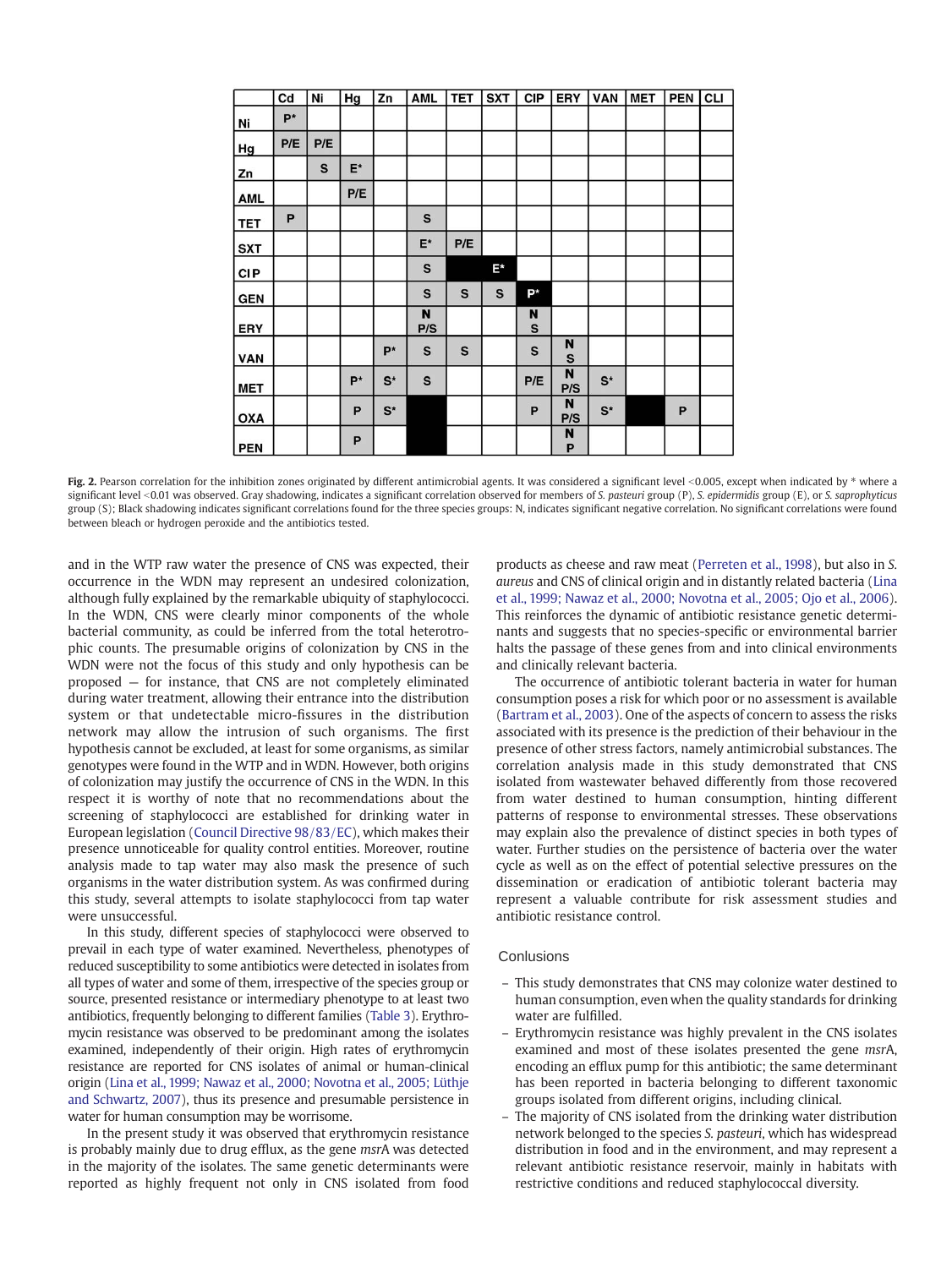<span id="page-5-0"></span>

|            | Cd    | Ni  | Hg    | Zn                   | <b>AML</b>   | <b>TET</b>   | <b>SXT</b>   | <b>CIP</b> | ERY           | VAN   | <b>MET</b> | <b>PEN</b> | <b>CLI</b> |
|------------|-------|-----|-------|----------------------|--------------|--------------|--------------|------------|---------------|-------|------------|------------|------------|
| Ni         | $P^*$ |     |       |                      |              |              |              |            |               |       |            |            |            |
| Hg         | P/E   | P/E |       |                      |              |              |              |            |               |       |            |            |            |
| Zn         |       | S   | E*    |                      |              |              |              |            |               |       |            |            |            |
| <b>AML</b> |       |     | P/E   |                      |              |              |              |            |               |       |            |            |            |
| <b>TET</b> | P     |     |       |                      | $\mathbf{s}$ |              |              |            |               |       |            |            |            |
| <b>SXT</b> |       |     |       |                      | $E^*$        | P/E          |              |            |               |       |            |            |            |
| <b>CIP</b> |       |     |       |                      | $\mathbf s$  |              | E*           |            |               |       |            |            |            |
| <b>GEN</b> |       |     |       |                      | $\mathbf{s}$ | $\mathbf{s}$ | $\mathbf{s}$ | P*         |               |       |            |            |            |
| ERY        |       |     |       |                      | N<br>P/S     |              |              | N<br>S     |               |       |            |            |            |
| VAN        |       |     |       | $P^*$                | S            | $\mathbf{s}$ |              | S          | $\frac{N}{S}$ |       |            |            |            |
| <b>MET</b> |       |     | $P^*$ | $S^*$                | $\mathbf{s}$ |              |              | P/E        | N<br>P/S      | $S^*$ |            |            |            |
| OXA        |       |     | P     | $\mathbf{S}^{\star}$ |              |              |              | P          | N<br>P/S      | $S^*$ |            | P          |            |
| <b>PEN</b> |       |     | P     |                      |              |              |              |            | N<br>P        |       |            |            |            |

Fig. 2. Pearson correlation for the inhibition zones originated by different antimicrobial agents. It was considered a significant level <0.005, except when indicated by \* where a significant level <0.01 was observed. Gray shadowing, indicates a significant correlation observed for members of S. pasteuri group (P), S. epidermidis group (E), or S. saprophyticus group (S); Black shadowing indicates significant correlations found for the three species groups: N, indicates significant negative correlation. No significant correlations were found between bleach or hydrogen peroxide and the antibiotics tested.

and in the WTP raw water the presence of CNS was expected, their occurrence in the WDN may represent an undesired colonization, although fully explained by the remarkable ubiquity of staphylococci. In the WDN, CNS were clearly minor components of the whole bacterial community, as could be inferred from the total heterotrophic counts. The presumable origins of colonization by CNS in the WDN were not the focus of this study and only hypothesis can be proposed — for instance, that CNS are not completely eliminated during water treatment, allowing their entrance into the distribution system or that undetectable micro-fissures in the distribution network may allow the intrusion of such organisms. The first hypothesis cannot be excluded, at least for some organisms, as similar genotypes were found in the WTP and in WDN. However, both origins of colonization may justify the occurrence of CNS in the WDN. In this respect it is worthy of note that no recommendations about the screening of staphylococci are established for drinking water in European legislation [\(Council Directive 98/83/EC](#page-6-0)), which makes their presence unnoticeable for quality control entities. Moreover, routine analysis made to tap water may also mask the presence of such organisms in the water distribution system. As was confirmed during this study, several attempts to isolate staphylococci from tap water were unsuccessful.

In this study, different species of staphylococci were observed to prevail in each type of water examined. Nevertheless, phenotypes of reduced susceptibility to some antibiotics were detected in isolates from all types of water and some of them, irrespective of the species group or source, presented resistance or intermediary phenotype to at least two antibiotics, frequently belonging to different families [\(Table 3\)](#page-2-0). Erythromycin resistance was observed to be predominant among the isolates examined, independently of their origin. High rates of erythromycin resistance are reported for CNS isolates of animal or human-clinical origin ([Lina et al., 1999; Nawaz et al., 2000; Novotna et al., 2005; Lüthje](#page-6-0) [and Schwartz, 2007](#page-6-0)), thus its presence and presumable persistence in water for human consumption may be worrisome.

In the present study it was observed that erythromycin resistance is probably mainly due to drug efflux, as the gene msrA was detected in the majority of the isolates. The same genetic determinants were reported as highly frequent not only in CNS isolated from food

products as cheese and raw meat ([Perreten et al., 1998](#page-6-0)), but also in S. aureus and CNS of clinical origin and in distantly related bacteria [\(Lina](#page-6-0) [et al., 1999; Nawaz et al., 2000; Novotna et al., 2005; Ojo et al., 2006](#page-6-0)). This reinforces the dynamic of antibiotic resistance genetic determinants and suggests that no species-specific or environmental barrier halts the passage of these genes from and into clinical environments and clinically relevant bacteria.

The occurrence of antibiotic tolerant bacteria in water for human consumption poses a risk for which poor or no assessment is available [\(Bartram et al., 2003](#page-6-0)). One of the aspects of concern to assess the risks associated with its presence is the prediction of their behaviour in the presence of other stress factors, namely antimicrobial substances. The correlation analysis made in this study demonstrated that CNS isolated from wastewater behaved differently from those recovered from water destined to human consumption, hinting different patterns of response to environmental stresses. These observations may explain also the prevalence of distinct species in both types of water. Further studies on the persistence of bacteria over the water cycle as well as on the effect of potential selective pressures on the dissemination or eradication of antibiotic tolerant bacteria may represent a valuable contribute for risk assessment studies and antibiotic resistance control.

## Conlusions

- This study demonstrates that CNS may colonize water destined to human consumption, even when the quality standards for drinking water are fulfilled.
- Erythromycin resistance was highly prevalent in the CNS isolates examined and most of these isolates presented the gene msrA, encoding an efflux pump for this antibiotic; the same determinant has been reported in bacteria belonging to different taxonomic groups isolated from different origins, including clinical.
- The majority of CNS isolated from the drinking water distribution network belonged to the species S. pasteuri, which has widespread distribution in food and in the environment, and may represent a relevant antibiotic resistance reservoir, mainly in habitats with restrictive conditions and reduced staphylococcal diversity.